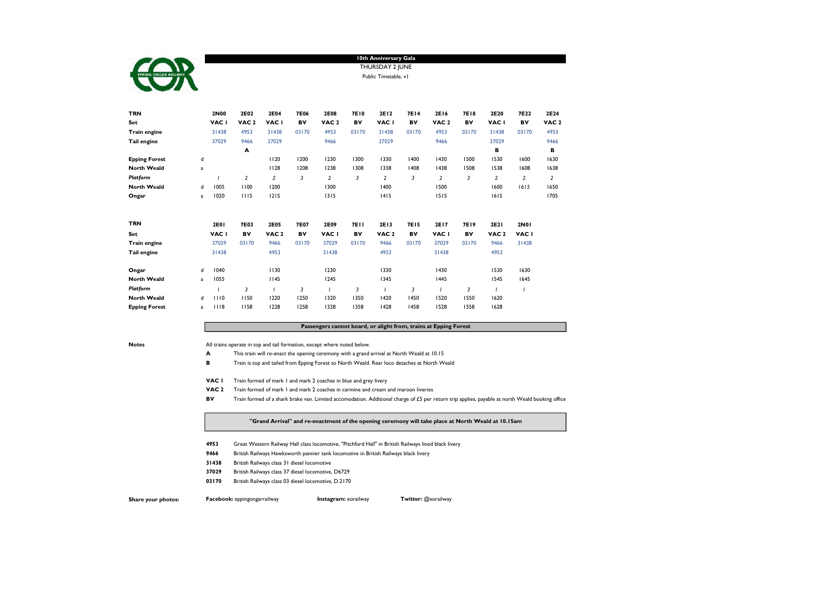

# 10th Anniversary Gala THURSDAY 2 JUNE Public Timetable, v1

| <b>TRN</b>           |             | 2N00        | 2E02             | 2E04             | 7E06        | 2E08             | 7E10        | 2E12             | <b>7E14</b> | 2E16             | <b>7E18</b> | 2E20             | 7E22           | 2E24             |
|----------------------|-------------|-------------|------------------|------------------|-------------|------------------|-------------|------------------|-------------|------------------|-------------|------------------|----------------|------------------|
| Set                  |             | VAC I       | VAC <sub>2</sub> | VAC I            | BV          | VAC <sub>2</sub> | BV          | VAC I            | BV          | VAC <sub>2</sub> | BV          | VAC I            | BV             | VAC <sub>2</sub> |
| Train engine         |             | 31438       | 4953             | 31438            | 03170       | 4953             | 03170       | 31438            | 03170       | 4953             | 03170       | 31438            | 03170          | 4953             |
| Tail engine          |             | 37029       | 9466             | 37029            |             | 9466             |             | 37029            |             | 9466             |             | 37029            |                | 9466             |
|                      |             |             | A                |                  |             |                  |             |                  |             |                  |             | в                |                | в                |
| <b>Epping Forest</b> | d           |             |                  | 1120             | 1200        | 1230             | 1300        | 1330             | 1400        | 1430             | 1500        | 1530             | 1600           | 1630             |
| <b>North Weald</b>   | $\mathbf a$ |             |                  | 1128             | 1208        | 1238             | 1308        | 1338             | 1408        | 1438             | 1508        | 1538             | 1608           | 1638             |
| Platform             |             |             | 2                | 2                | 3           | $\overline{2}$   | 3           | $\overline{2}$   | 3           | $\overline{2}$   | 3           | 2                | $\overline{2}$ | 2                |
| <b>North Weald</b>   | d           | 1005        | 1100             | 1200             |             | 1300             |             | 1400             |             | 1500             |             | 1600             | 1615           | 1650             |
| Ongar                | a           | 1020        | 1115             | 1215             |             | 1315             |             | 1415             |             | 1515             |             | 1615             |                | 1705             |
| <b>TRN</b>           |             | <b>2E01</b> | <b>7E03</b>      | 2E05             | <b>7E07</b> | 2E09             | <b>7E11</b> | 2E13             | <b>7E15</b> | 2E17             | <b>7E19</b> | 2E21             | 2N01           |                  |
| Set                  |             | VAC I       | BV               | VAC <sub>2</sub> | BV          | VAC I            | BV          | VAC <sub>2</sub> | BV          | VAC I            | BV          | VAC <sub>2</sub> | VAC I          |                  |
| Train engine         |             | 37029       | 03170            | 9466             | 03170       | 37029            | 03170       | 9466             | 03170       | 37029            | 03170       | 9466             | 31438          |                  |
| Tail engine          |             | 31438       |                  | 4953             |             | 31438            |             | 4953             |             | 31438            |             | 4953             |                |                  |
| Ongar                | d           | 1040        |                  | 1130             |             | 1230             |             | 1330             |             | 1430             |             | 1530             | 1630           |                  |
| <b>North Weald</b>   | a           | 1055        |                  | 1145             |             | 1245             |             | 1345             |             | 1445             |             | 1545             | 1645           |                  |
| Platform             |             |             | 3                |                  | 3           |                  | 3           |                  | 3           |                  | 3           |                  |                |                  |
| <b>North Weald</b>   | d           | 1110        | 1150             | 1220             | 1250        | 1320             | 1350        | 1420             | 1450        | 1520             | 1550        | 1620             |                |                  |
| <b>Epping Forest</b> | a           | 1118        | 1158             | 1228             | 1258        | 1328             | 1358        | 1428             | 1458        | 1528             | 1558        | 1628             |                |                  |

### Passengers cannot board, or alight from, trains at Epping Forest

Notes Motes All trains operate in top and tail formation, except where noted below.

- A This train will re-enact the opening ceremony with a grand arrival at North Weald at 10.15
- **B** Train is top and tailed from Epping Forest to North Weald. Rear loco detaches at North Weald
- VAC 1 Train formed of mark 1 and mark 2 coaches in blue and grey livery
- VAC 2 Train formed of mark 1 and mark 2 coaches in carmine and cream and maroon liveries
- BV Train formed of a shark brake van. Limited accomodation. Additional charge of £5 per return trip applies, payable at north Weald booking office

### "Grand Arrival" and re-enactment of the opening ceremony will take place at North Weald at 10.15am

- 4953 Great Western Railway Hall class locomotive, "Pitchford Hall" in British Railways lined black livery
- 9466 British Railways Hawksworth pannier tank locomotive in British Railways black livery
- 31438 British Railways class 31 diesel locomotive
- 37029 British Railways class 37 diesel locomotive, D6729
- 03170 British Railways class 03 diesel locomotive, D.2170

Share your photos: Facebook: eppingongarrailway **Instagram:** eorailway Twitter: @eorailway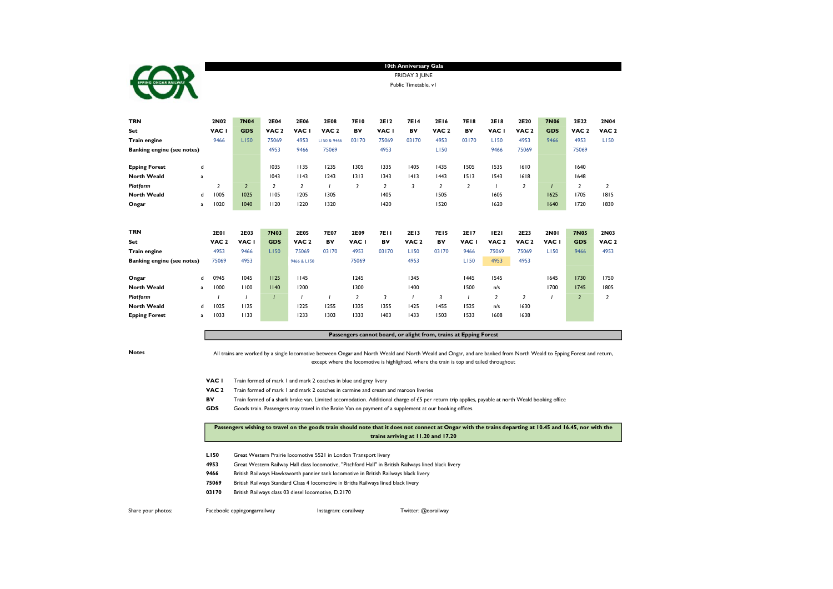|                                                         | 10th Anniversary Gala |  |
|---------------------------------------------------------|-----------------------|--|
| <b>rr</b>                                               | FRIDAY 3 JUNE         |  |
| <b>EPPING ONGAR RAILWAY</b><br>$\overline{\phantom{a}}$ | Public Timetable, vl  |  |

| <b>TRN</b>                        |              | 2N02             | <b>7N04</b>    | 2E04             | 2E06             | 2E08             | <b>7E10</b>    | 2E12           | <b>7E14</b>      | 2E16             | 7E18  | 2E18             | 2E20             | <b>7N06</b> | 2E22             | 2N04             |
|-----------------------------------|--------------|------------------|----------------|------------------|------------------|------------------|----------------|----------------|------------------|------------------|-------|------------------|------------------|-------------|------------------|------------------|
| Set                               |              | VAC I            | <b>GDS</b>     | VAC <sub>2</sub> | VAC I            | VAC <sub>2</sub> | BV             | VAC I          | BV               | VAC <sub>2</sub> | BV    | VAC I            | VAC <sub>2</sub> | <b>GDS</b>  | VAC <sub>2</sub> | VAC <sub>2</sub> |
| Train engine                      |              | 9466             | L150           | 75069            | 4953             | LI50 & 9466      | 03170          | 75069          | 03170            | 4953             | 03170 | L150             | 4953             | 9466        | 4953             | L150             |
| <b>Banking engine (see notes)</b> |              |                  |                | 4953             | 9466             | 75069            |                | 4953           |                  | L150             |       | 9466             | 75069            |             | 75069            |                  |
| <b>Epping Forest</b>              | d            |                  |                | 1035             | 1135             | 1235             | 1305           | 1335           | 1405             | 1435             | 1505  | 1535             | 1610             |             | 1640             |                  |
| <b>North Weald</b>                | $\mathbf{a}$ |                  |                | 1043             | 1143             | 1243             | 1313           | 1343           | 1413             | 1443             | 1513  | 1543             | 1618             |             | 1648             |                  |
| Platform                          |              | 2                | $\overline{2}$ | $\overline{2}$   | 2                |                  | 3              | $\overline{2}$ | 3                | 2                | 2     |                  | $\overline{2}$   |             | 2                | 2                |
| <b>North Weald</b>                | d            | 1005             | 1025           | 1105             | 1205             | 1305             |                | 1405           |                  | 1505             |       | 1605             |                  | 1625        | 1705             | 1815             |
| Ongar                             | $\mathbf{a}$ | 1020             | 1040           | 1120             | 1220             | 1320             |                | 1420           |                  | 1520             |       | 1620             |                  | 1640        | 1720             | 1830             |
|                                   |              |                  |                |                  |                  |                  |                |                |                  |                  |       |                  |                  |             |                  |                  |
| <b>TRN</b>                        |              | <b>2E01</b>      | 2E03           | <b>7N03</b>      | <b>2E05</b>      | <b>7E07</b>      | 2E09           | <b>7E11</b>    | 2E13             | <b>7E15</b>      | 2E17  | <b>IE21</b>      | 2E23             | 2N01        | <b>7N05</b>      | 2N03             |
| Set                               |              | VAC <sub>2</sub> | VAC I          | <b>GDS</b>       | VAC <sub>2</sub> | BV               | VAC I          | BV             | VAC <sub>2</sub> | BV               | VAC I | VAC <sub>2</sub> | VAC <sub>2</sub> | VAC I       | <b>GDS</b>       | VAC <sub>2</sub> |
| Train engine                      |              | 4953             | 9466           | L150             | 75069            | 03170            | 4953           | 03170          | L150             | 03170            | 9466  | 75069            | 75069            | L150        | 9466             | 4953             |
| <b>Banking engine (see notes)</b> |              | 75069            | 4953           |                  | 9466 & LI50      |                  | 75069          |                | 4953             |                  | L150  | 4953             | 4953             |             |                  |                  |
|                                   |              |                  |                |                  |                  |                  |                |                |                  |                  |       |                  |                  |             |                  |                  |
| Ongar                             | d            | 0945             | 1045           | 1125             | 1145             |                  | 1245           |                | 1345             |                  | 1445  | 1545             |                  | 1645        | 1730             | 1750             |
| <b>North Weald</b>                | $\mathbf{a}$ | 1000             | 1100           | 1140             | 1200             |                  | 1300           |                | 1400             |                  | 1500  | n/s              |                  | 1700        | 1745             | 1805             |
| Platform                          |              |                  |                |                  |                  |                  | $\overline{2}$ | 3              |                  | 3                |       | $\overline{2}$   | $\overline{2}$   |             | $\overline{2}$   | 2                |
| <b>North Weald</b>                | d            | 1025             | 1125           |                  | 1225             | 1255             | 1325           | 1355           | 1425             | 1455             | 1525  | n/s              | 1630             |             |                  |                  |
| <b>Epping Forest</b>              | a            | 1033             | 1133           |                  | 1233             | 1303             | 1333           | 1403           | 1433             | 1503             | 1533  | 1608             | 1638             |             |                  |                  |

# Passengers cannot board, or alight from, trains at Epping Forest

Notes

г

All trains are worked by a single locomotive between Ongar and North Weald and North Weald and Ongar, and are banked from North Weald to Epping Forest and return, except where the locomotive is highlighted, where the train is top and tailed throughout

- VAC 1 Train formed of mark 1 and mark 2 coaches in blue and grey livery
- VAC 2 Train formed of mark 1 and mark 2 coaches in carmine and cream and maroon liveries
- BV Train formed of a shark brake van. Limited accomodation. Additional charge of £5 per return trip applies, payable at north Weald booking office
- GDS Goods train. Passengers may travel in the Brake Van on payment of a supplement at our booking offices.

# Passengers wishing to travel on the goods train should note that it does not connect at Ongar with the trains departing at 10.45 and 16.45, nor with the trains arriving at 11.20 and 17.20

- L150 Great Western Prairie locomotive 5521 in London Transport livery
- 4953 Great Western Railway Hall class locomotive, "Pitchford Hall" in British Railways lined black livery
- 9466 British Railways Hawksworth pannier tank locomotive in British Railways black livery
- 75069 British Railways Standard Class 4 locomotive in Briths Railways lined black livery
- 03170 British Railways class 03 diesel locomotive, D.2170

Share your photos: Facebook: eppingongarrailway Instagram: eorailway Twitter: @eorailway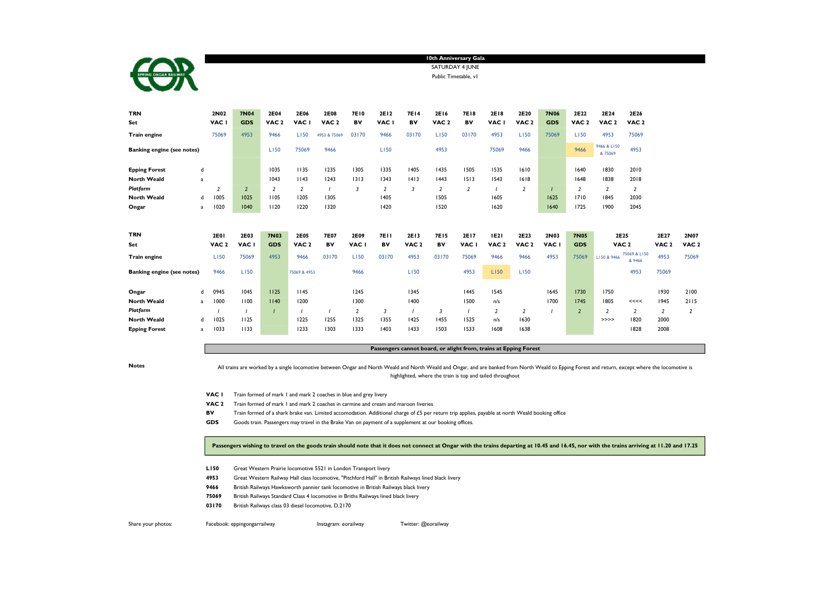

SATURDAY 4 JUNE 10th Anniversary Gala

Public Timetable, v1

| <b>TRN</b>                        |                | 2N02                    | <b>7N04</b>    | 2E04             | 2E06             | 2E08             | <b>7E10</b>    | 2E12           | <b>7E14</b>      | 2E16             | <b>7E18</b>    | 2E18             | 2E20             | <b>7N06</b> | 2E22             | 2E24                  | 2E26                   |                  |                  |
|-----------------------------------|----------------|-------------------------|----------------|------------------|------------------|------------------|----------------|----------------|------------------|------------------|----------------|------------------|------------------|-------------|------------------|-----------------------|------------------------|------------------|------------------|
| Set                               |                | VAC I                   | <b>GDS</b>     | VAC <sub>2</sub> | VAC I            | VAC <sub>2</sub> | BV             | VAC I          | BV               | VAC <sub>2</sub> | BV             | VAC I            | VAC <sub>2</sub> | <b>GDS</b>  | VAC <sub>2</sub> | VAC <sub>2</sub>      | VAC <sub>2</sub>       |                  |                  |
| Train engine                      |                | 75069                   | 4953           | 9466             | L150             | 4953 & 75069     | 03170          | 9466           | 03170            | L150             | 03170          | 4953             | L150             | 75069       | L150             | 4953                  | 75069                  |                  |                  |
| <b>Banking engine (see notes)</b> |                |                         |                | L150             | 75069            | 9466             |                | L150           |                  | 4953             |                | 75069            | 9466             |             | 9466             | 9466 & LI50<br>&75069 | 4953                   |                  |                  |
| <b>Epping Forest</b>              | d              |                         |                | 1035             | 1135             | 1235             | 1305           | 1335           | 1405             | 1435             | 1505           | 1535             | 1610             |             | 1640             | 1830                  | 2010                   |                  |                  |
| <b>North Weald</b>                | a              |                         |                | 1043             | 1143             | 1243             | 1313           | 1343           | 1413             | 1443             | 1513           | 1543             | 1618             |             | 1648             | 1838                  | 2018                   |                  |                  |
| Platform                          |                | $\overline{\mathbf{z}}$ | $\overline{2}$ | 2                | 2                | $\overline{1}$   | 3              | $\overline{2}$ | 3                | 2                | $\overline{2}$ |                  | $\overline{2}$   |             | $\overline{2}$   | 2                     | 2                      |                  |                  |
| <b>North Weald</b>                | d              | 1005                    | 1025           | 1105             | 1205             | 1305             |                | 1405           |                  | 1505             |                | 1605             |                  | 1625        | 1710             | 1845                  | 2030                   |                  |                  |
| Ongar                             | a              | 1020                    | 1040           | 1120             | 1220             | 1320             |                | 1420           |                  | 1520             |                | 1620             |                  | 1640        | 1725             | 1900                  | 2045                   |                  |                  |
| <b>TRN</b>                        |                | <b>2E01</b>             | 2E03           | <b>7N03</b>      | <b>2E05</b>      | <b>7E07</b>      | 2E09           | <b>7E11</b>    | 2E13             | <b>7E15</b>      | 2E17           | <b>IE21</b>      | 2E23             | 2N03        | <b>7N05</b>      | 2E25                  |                        | 2E27             | 2N07             |
| Set                               |                | VAC <sub>2</sub>        | VAC I          | <b>GDS</b>       | VAC <sub>2</sub> | BV               | VAC I          | BV             | VAC <sub>2</sub> | BV               | VAC I          | VAC <sub>2</sub> | VAC <sub>2</sub> | VAC I       | <b>GDS</b>       | VAC <sub>2</sub>      |                        | VAC <sub>2</sub> | VAC <sub>2</sub> |
| Train engine                      |                | L150                    | 75069          | 4953             | 9466             | 03170            | L150           | 03170          | 4953             | 03170            | 75069          | 9466             | 9466             | 4953        | 75069            | LI50 & 9466           | 75069 & L150<br>& 9466 | 4953             | 75069            |
| <b>Banking engine (see notes)</b> |                | 9466                    | L150           |                  | 75069 & 4953     |                  | 9466           |                | L150             |                  | 4953           | L150             | L150             |             |                  |                       | 4953                   | 75069            |                  |
| Ongar                             | d              | 0945                    | 1045           | 1125             | 1145             |                  | 1245           |                | 1345             |                  | 1445           | 1545             |                  | 1645        | 1730             | 1750                  |                        | 1930             | 2100             |
| <b>North Weald</b>                | a              | 1000                    | 1100           | 1140             | 1200             |                  | 1300           |                | 1400             |                  | 1500           | n/s              |                  | 1700        | 1745             | 1805                  | <<<<                   | 1945             | 2115             |
| Platform                          |                |                         |                |                  |                  | $\overline{1}$   | $\overline{2}$ | 3              |                  | 3                |                | 2                | 2                |             | $\overline{2}$   | $\overline{2}$        | 2                      | $\overline{2}$   | 2                |
| <b>North Weald</b>                | d              | 1025                    | 1125           |                  | 1225             | 1255             | 1325           | 1355           | 1425             | 1455             | 1525           | n/s              | 1630             |             |                  | >>>>                  | 1820                   | 2000             |                  |
| <b>Epping Forest</b>              | $\overline{a}$ | 1033                    | 1133           |                  | 1233             | 1303             | 1333           | 1403           | 1433             | 1503             | 1533           | 1608             | 1638             |             |                  |                       | 1828                   | 2008             |                  |

## Passengers cannot board, or alight from, trains at Epping Forest

Notes

All trains are worked by a single locomotive between Ongar and North Weald and North Weald and Ongar, and are banked from North Weald to Epping Forest and return, except where the locomotive is highlighted, where the train is top and tailed throughout

- VAC 1 Train formed of mark 1 and mark 2 coaches in blue and grey livery
- VAC 2 Train formed of mark 1 and mark 2 coaches in carmine and cream and maroon liveries
- BV Train formed of a shark brake van. Limited accomodation. Additional charge of £5 per return trip applies, payable at north Weald booking office
- GDS Goods train. Passengers may travel in the Brake Van on payment of a supplement at our booking offices.

Passengers wishing to travel on the goods train should note that it does not connect at Ongar with the trains departing at 10.45 and 16.45, nor with the trains arriving at 11.20 and 17.25

- L150 Great Western Prairie locomotive 5521 in London Transport livery
- 4953 Great Western Railway Hall class locomotive, "Pitchford Hall" in British Railways lined black livery
- 9466 British Railways Hawksworth pannier tank locomotive in British Railways black livery
- 75069 British Railways Standard Class 4 locomotive in Briths Railways lined black livery
- 03170 British Railways class 03 diesel locomotive, D.2170